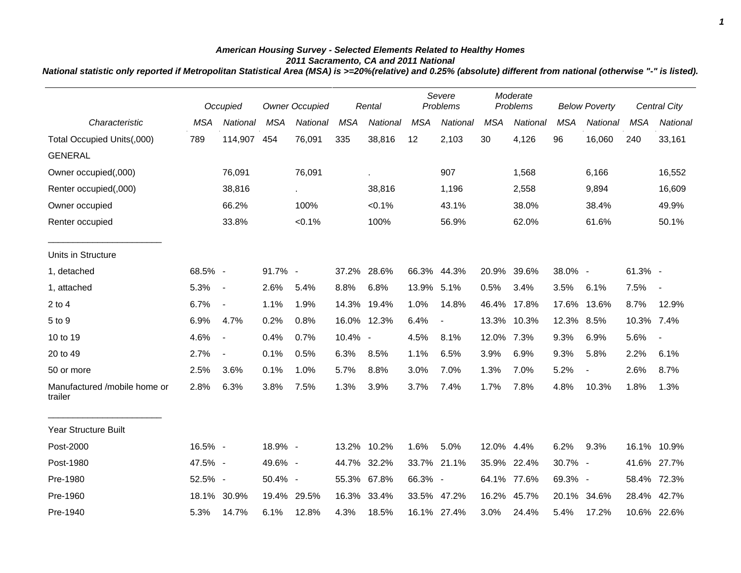## *American Housing Survey - Selected Elements Related to Healthy Homes 2011 Sacramento, CA and 2011 National*

*National statistic only reported if Metropolitan Statistical Area (MSA) is >=20%(relative) and 0.25% (absolute) different from national (otherwise "-" is listed).*

|                                         | Occupied   |                          | <b>Owner Occupied</b> |             | Rental     |             | Severe<br>Problems |                | Moderate<br>Problems |             | <b>Below Poverty</b> |                          | <b>Central City</b> |             |
|-----------------------------------------|------------|--------------------------|-----------------------|-------------|------------|-------------|--------------------|----------------|----------------------|-------------|----------------------|--------------------------|---------------------|-------------|
| Characteristic                          | <b>MSA</b> | National                 | <b>MSA</b>            | National    | <b>MSA</b> | National    | <b>MSA</b>         | National       | <b>MSA</b>           | National    | <b>MSA</b>           | National                 | <b>MSA</b>          | National    |
| Total Occupied Units(,000)              | 789        | 114,907                  | 454                   | 76,091      | 335        | 38,816      | 12                 | 2,103          | 30                   | 4,126       | 96                   | 16,060                   | 240                 | 33,161      |
| <b>GENERAL</b>                          |            |                          |                       |             |            |             |                    |                |                      |             |                      |                          |                     |             |
| Owner occupied(,000)                    |            | 76,091                   |                       | 76,091      |            | à.          |                    | 907            |                      | 1,568       |                      | 6,166                    |                     | 16,552      |
| Renter occupied(,000)                   |            | 38,816                   |                       | $\sim$      |            | 38,816      |                    | 1,196          |                      | 2,558       |                      | 9,894                    |                     | 16,609      |
| Owner occupied                          |            | 66.2%                    |                       | 100%        |            | $< 0.1\%$   |                    | 43.1%          |                      | 38.0%       |                      | 38.4%                    |                     | 49.9%       |
| Renter occupied                         |            | 33.8%                    |                       | $< 0.1\%$   |            | 100%        |                    | 56.9%          |                      | 62.0%       |                      | 61.6%                    |                     | 50.1%       |
| Units in Structure                      |            |                          |                       |             |            |             |                    |                |                      |             |                      |                          |                     |             |
| 1, detached                             | 68.5% -    |                          | 91.7% -               |             |            | 37.2% 28.6% |                    | 66.3% 44.3%    | 20.9%                | 39.6%       | 38.0% -              |                          | $61.3\%$ -          |             |
| 1, attached                             | 5.3%       | $\sim$                   | 2.6%                  | 5.4%        | 8.8%       | 6.8%        | 13.9% 5.1%         |                | 0.5%                 | 3.4%        | 3.5%                 | 6.1%                     | 7.5%                | $\sim$      |
| $2$ to 4                                | 6.7%       | $\blacksquare$           | 1.1%                  | 1.9%        |            | 14.3% 19.4% | 1.0%               | 14.8%          | 46.4%                | 17.8%       | 17.6%                | 13.6%                    | 8.7%                | 12.9%       |
| 5 to 9                                  | 6.9%       | 4.7%                     | 0.2%                  | 0.8%        |            | 16.0% 12.3% | 6.4%               | $\blacksquare$ | 13.3%                | 10.3%       | 12.3% 8.5%           |                          | 10.3% 7.4%          |             |
| 10 to 19                                | 4.6%       | $\blacksquare$           | 0.4%                  | 0.7%        | 10.4% -    |             | 4.5%               | 8.1%           | 12.0%                | 7.3%        | 9.3%                 | 6.9%                     | 5.6%                |             |
| 20 to 49                                | 2.7%       | $\overline{\phantom{a}}$ | 0.1%                  | 0.5%        | 6.3%       | 8.5%        | 1.1%               | 6.5%           | 3.9%                 | 6.9%        | 9.3%                 | 5.8%                     | 2.2%                | 6.1%        |
| 50 or more                              | 2.5%       | 3.6%                     | 0.1%                  | 1.0%        | 5.7%       | 8.8%        | 3.0%               | 7.0%           | 1.3%                 | 7.0%        | 5.2%                 | $\overline{\phantom{a}}$ | 2.6%                | 8.7%        |
| Manufactured /mobile home or<br>trailer | 2.8%       | 6.3%                     | 3.8%                  | 7.5%        | 1.3%       | 3.9%        | 3.7%               | 7.4%           | 1.7%                 | 7.8%        | 4.8%                 | 10.3%                    | 1.8%                | 1.3%        |
| <b>Year Structure Built</b>             |            |                          |                       |             |            |             |                    |                |                      |             |                      |                          |                     |             |
| Post-2000                               | 16.5% -    |                          | 18.9% -               |             |            | 13.2% 10.2% | 1.6%               | 5.0%           | 12.0% 4.4%           |             | 6.2%                 | 9.3%                     | 16.1% 10.9%         |             |
| Post-1980                               | 47.5% -    |                          | 49.6% -               |             | 44.7%      | 32.2%       | 33.7%              | 21.1%          | 35.9%                | 22.4%       | 30.7% -              |                          | 41.6%               | 27.7%       |
| Pre-1980                                | 52.5% -    |                          | 50.4% -               |             | 55.3%      | 67.8%       | 66.3% -            |                |                      | 64.1% 77.6% | 69.3% -              |                          | 58.4%               | 72.3%       |
| Pre-1960                                | 18.1%      | 30.9%                    |                       | 19.4% 29.5% |            | 16.3% 33.4% |                    | 33.5% 47.2%    | 16.2%                | 45.7%       | 20.1%                | 34.6%                    | 28.4%               | 42.7%       |
| Pre-1940                                | 5.3%       | 14.7%                    | 6.1%                  | 12.8%       | 4.3%       | 18.5%       |                    | 16.1% 27.4%    | 3.0%                 | 24.4%       | 5.4%                 | 17.2%                    |                     | 10.6% 22.6% |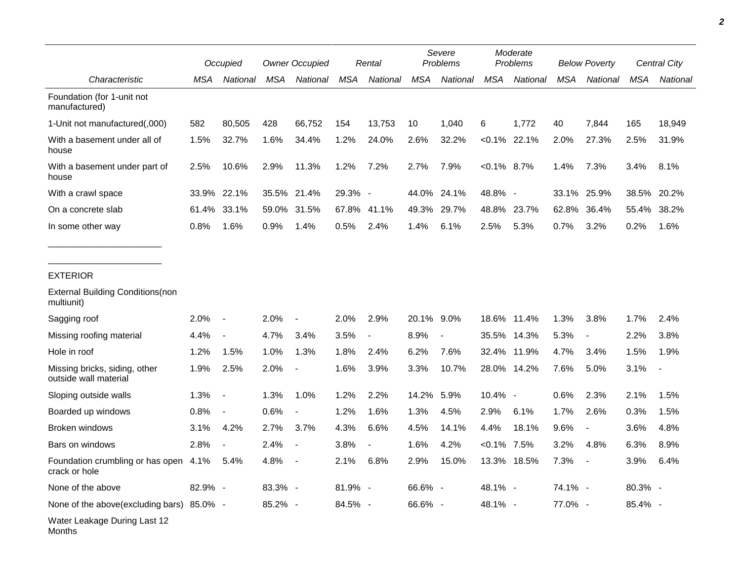|                                                        | Occupied |                          | <b>Owner Occupied</b> |                          | Rental     |                          | Severe<br>Problems |                          | Moderate<br>Problems |                 | <b>Below Poverty</b> |                          | Central City |          |
|--------------------------------------------------------|----------|--------------------------|-----------------------|--------------------------|------------|--------------------------|--------------------|--------------------------|----------------------|-----------------|----------------------|--------------------------|--------------|----------|
| Characteristic                                         | MSA      | National                 | MSA                   | National                 | <b>MSA</b> | National                 | <b>MSA</b>         | National                 | <b>MSA</b>           | National        | MSA                  | National                 | <b>MSA</b>   | National |
| Foundation (for 1-unit not<br>manufactured)            |          |                          |                       |                          |            |                          |                    |                          |                      |                 |                      |                          |              |          |
| 1-Unit not manufactured(,000)                          | 582      | 80,505                   | 428                   | 66,752                   | 154        | 13,753                   | 10                 | 1,040                    | 6                    | 1,772           | 40                   | 7,844                    | 165          | 18,949   |
| With a basement under all of<br>house                  | 1.5%     | 32.7%                    | 1.6%                  | 34.4%                    | 1.2%       | 24.0%                    | 2.6%               | 32.2%                    |                      | $< 0.1\%$ 22.1% | 2.0%                 | 27.3%                    | 2.5%         | 31.9%    |
| With a basement under part of<br>house                 | 2.5%     | 10.6%                    | 2.9%                  | 11.3%                    | 1.2%       | 7.2%                     | 2.7%               | 7.9%                     | $< 0.1\%$ 8.7%       |                 | 1.4%                 | 7.3%                     | 3.4%         | 8.1%     |
| With a crawl space                                     | 33.9%    | 22.1%                    | 35.5%                 | 21.4%                    | 29.3% -    |                          | 44.0%              | 24.1%                    | 48.8% -              |                 | 33.1%                | 25.9%                    | 38.5%        | 20.2%    |
| On a concrete slab                                     | 61.4%    | 33.1%                    | 59.0%                 | 31.5%                    | 67.8%      | 41.1%                    | 49.3%              | 29.7%                    | 48.8%                | 23.7%           | 62.8%                | 36.4%                    | 55.4%        | 38.2%    |
| In some other way                                      | 0.8%     | 1.6%                     | 0.9%                  | 1.4%                     | 0.5%       | 2.4%                     | 1.4%               | 6.1%                     | 2.5%                 | 5.3%            | 0.7%                 | 3.2%                     | 0.2%         | 1.6%     |
| <b>EXTERIOR</b>                                        |          |                          |                       |                          |            |                          |                    |                          |                      |                 |                      |                          |              |          |
| <b>External Building Conditions (non</b><br>multiunit) |          |                          |                       |                          |            |                          |                    |                          |                      |                 |                      |                          |              |          |
| Sagging roof                                           | 2.0%     | $\blacksquare$           | 2.0%                  |                          | 2.0%       | 2.9%                     | 20.1% 9.0%         |                          | 18.6%                | 11.4%           | 1.3%                 | 3.8%                     | 1.7%         | 2.4%     |
| Missing roofing material                               | 4.4%     | $\overline{\phantom{a}}$ | 4.7%                  | 3.4%                     | 3.5%       | $\overline{\phantom{a}}$ | 8.9%               | $\overline{\phantom{a}}$ | 35.5%                | 14.3%           | 5.3%                 | $\overline{\phantom{a}}$ | 2.2%         | 3.8%     |
| Hole in roof                                           | 1.2%     | 1.5%                     | 1.0%                  | 1.3%                     | 1.8%       | 2.4%                     | 6.2%               | 7.6%                     | 32.4%                | 11.9%           | 4.7%                 | 3.4%                     | 1.5%         | 1.9%     |
| Missing bricks, siding, other<br>outside wall material | 1.9%     | 2.5%                     | 2.0%                  |                          | 1.6%       | 3.9%                     | 3.3%               | 10.7%                    | 28.0%                | 14.2%           | 7.6%                 | 5.0%                     | 3.1%         |          |
| Sloping outside walls                                  | 1.3%     | $\blacksquare$           | 1.3%                  | 1.0%                     | 1.2%       | 2.2%                     | 14.2%              | 5.9%                     | 10.4% -              |                 | 0.6%                 | 2.3%                     | 2.1%         | 1.5%     |
| Boarded up windows                                     | 0.8%     | $\blacksquare$           | 0.6%                  | $\overline{\phantom{a}}$ | 1.2%       | 1.6%                     | 1.3%               | 4.5%                     | 2.9%                 | 6.1%            | 1.7%                 | 2.6%                     | 0.3%         | 1.5%     |
| Broken windows                                         | 3.1%     | 4.2%                     | 2.7%                  | 3.7%                     | 4.3%       | 6.6%                     | 4.5%               | 14.1%                    | 4.4%                 | 18.1%           | 9.6%                 | $\overline{\phantom{a}}$ | 3.6%         | 4.8%     |
| Bars on windows                                        | 2.8%     |                          | 2.4%                  |                          | 3.8%       |                          | 1.6%               | 4.2%                     | $< 0.1\%$            | 7.5%            | 3.2%                 | 4.8%                     | 6.3%         | 8.9%     |
| Foundation crumbling or has open 4.1%<br>crack or hole |          | 5.4%                     | 4.8%                  |                          | 2.1%       | 6.8%                     | 2.9%               | 15.0%                    | 13.3%                | 18.5%           | 7.3%                 |                          | 3.9%         | 6.4%     |
| None of the above                                      | 82.9% -  |                          | 83.3% -               |                          | 81.9% -    |                          | 66.6% -            |                          | 48.1% -              |                 | 74.1% -              |                          | 80.3% -      |          |
| None of the above(excluding bars) 85.0% -              |          |                          | 85.2% -               |                          | 84.5% -    |                          | 66.6% -            |                          | 48.1% -              |                 | 77.0% -              |                          | 85.4% -      |          |
| Water Leakage During Last 12<br>Months                 |          |                          |                       |                          |            |                          |                    |                          |                      |                 |                      |                          |              |          |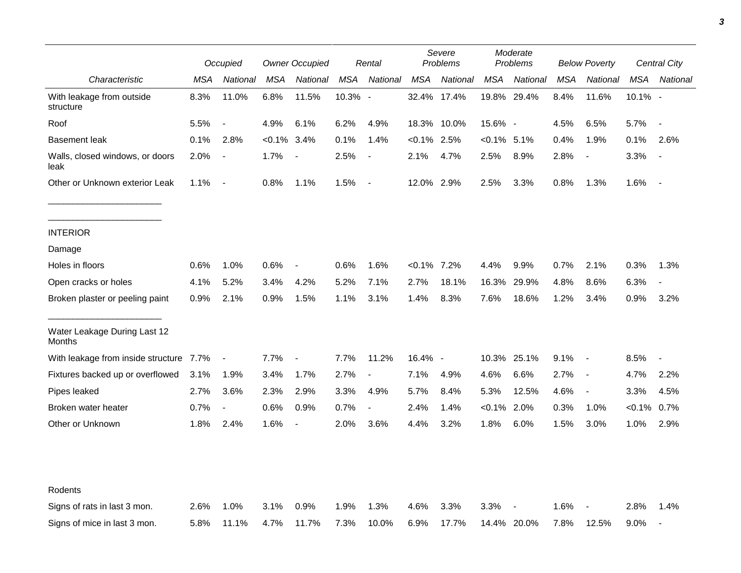|                                         | Occupied |                          | <b>Owner Occupied</b> |                          | Rental  |                          | Severe<br>Problems |             | Moderate<br>Problems |             | <b>Below Poverty</b> |                          | Central City |                          |
|-----------------------------------------|----------|--------------------------|-----------------------|--------------------------|---------|--------------------------|--------------------|-------------|----------------------|-------------|----------------------|--------------------------|--------------|--------------------------|
| Characteristic                          | MSA      | National                 | <b>MSA</b>            | National                 | MSA     | National                 | <b>MSA</b>         | National    | <b>MSA</b>           | National    | <b>MSA</b>           | National                 | <b>MSA</b>   | National                 |
| With leakage from outside<br>structure  | 8.3%     | 11.0%                    | 6.8%                  | 11.5%                    | 10.3% - |                          |                    | 32.4% 17.4% |                      | 19.8% 29.4% | 8.4%                 | 11.6%                    | 10.1% -      |                          |
| Roof                                    | 5.5%     | $\overline{\phantom{a}}$ | 4.9%                  | 6.1%                     | 6.2%    | 4.9%                     |                    | 18.3% 10.0% | 15.6% -              |             | 4.5%                 | 6.5%                     | 5.7%         | $\overline{\phantom{a}}$ |
| <b>Basement leak</b>                    | 0.1%     | 2.8%                     | $< 0.1\%$             | 3.4%                     | 0.1%    | 1.4%                     | $< 0.1\%$ 2.5%     |             | $<0.1\%$ 5.1%        |             | 0.4%                 | 1.9%                     | 0.1%         | 2.6%                     |
| Walls, closed windows, or doors<br>leak | 2.0%     | $\blacksquare$           | 1.7%                  | $\overline{\phantom{a}}$ | 2.5%    | $\blacksquare$           | 2.1%               | 4.7%        | 2.5%                 | 8.9%        | 2.8%                 | $\overline{\phantom{a}}$ | 3.3%         |                          |
| Other or Unknown exterior Leak          | 1.1%     | $\sim$                   | 0.8%                  | 1.1%                     | 1.5%    | $\overline{\phantom{a}}$ | 12.0% 2.9%         |             | 2.5%                 | 3.3%        | 0.8%                 | 1.3%                     | 1.6%         |                          |
| <b>INTERIOR</b>                         |          |                          |                       |                          |         |                          |                    |             |                      |             |                      |                          |              |                          |
| Damage                                  |          |                          |                       |                          |         |                          |                    |             |                      |             |                      |                          |              |                          |
| Holes in floors                         | 0.6%     | 1.0%                     | 0.6%                  | $\overline{\phantom{a}}$ | 0.6%    | 1.6%                     | $< 0.1\%$ 7.2%     |             | 4.4%                 | 9.9%        | 0.7%                 | 2.1%                     | 0.3%         | 1.3%                     |
| Open cracks or holes                    | 4.1%     | 5.2%                     | 3.4%                  | 4.2%                     | 5.2%    | 7.1%                     | 2.7%               | 18.1%       | 16.3%                | 29.9%       | 4.8%                 | 8.6%                     | 6.3%         | $\overline{\phantom{a}}$ |
| Broken plaster or peeling paint         | 0.9%     | 2.1%                     | 0.9%                  | 1.5%                     | 1.1%    | 3.1%                     | 1.4%               | 8.3%        | 7.6%                 | 18.6%       | 1.2%                 | 3.4%                     | 0.9%         | 3.2%                     |
| Water Leakage During Last 12<br>Months  |          |                          |                       |                          |         |                          |                    |             |                      |             |                      |                          |              |                          |
| With leakage from inside structure 7.7% |          | $\overline{\phantom{a}}$ | 7.7%                  | $\overline{\phantom{a}}$ | 7.7%    | 11.2%                    | 16.4% -            |             |                      | 10.3% 25.1% | 9.1%                 | $\sim$                   | 8.5%         | $\overline{\phantom{a}}$ |
| Fixtures backed up or overflowed        | 3.1%     | 1.9%                     | 3.4%                  | 1.7%                     | 2.7%    | $\sim$                   | 7.1%               | 4.9%        | 4.6%                 | 6.6%        | 2.7%                 | $\overline{\phantom{a}}$ | 4.7%         | 2.2%                     |
| Pipes leaked                            | 2.7%     | 3.6%                     | 2.3%                  | 2.9%                     | 3.3%    | 4.9%                     | 5.7%               | 8.4%        | 5.3%                 | 12.5%       | 4.6%                 | $\overline{\phantom{a}}$ | 3.3%         | 4.5%                     |
| Broken water heater                     | 0.7%     | $\blacksquare$           | 0.6%                  | 0.9%                     | 0.7%    | $\overline{\phantom{a}}$ | 2.4%               | 1.4%        | $< 0.1\%$            | 2.0%        | 0.3%                 | 1.0%                     | < 0.1%       | 0.7%                     |
| Other or Unknown                        | 1.8%     | 2.4%                     | 1.6%                  | $\overline{\phantom{a}}$ | 2.0%    | 3.6%                     | 4.4%               | 3.2%        | 1.8%                 | 6.0%        | 1.5%                 | 3.0%                     | 1.0%         | 2.9%                     |
| Rodents                                 |          |                          |                       |                          |         |                          |                    |             |                      |             |                      |                          |              |                          |
| Signs of rats in last 3 mon.            | 2.6%     | 1.0%                     | 3.1%                  | 0.9%                     | 1.9%    | 1.3%                     | 4.6%               | 3.3%        | 3.3%                 |             | 1.6%                 |                          | 2.8%         | 1.4%                     |
| Signs of mice in last 3 mon.            | 5.8%     | 11.1%                    | 4.7%                  | 11.7%                    | 7.3%    | 10.0%                    | 6.9%               | 17.7%       |                      | 14.4% 20.0% | 7.8%                 | 12.5%                    | 9.0%         | $\overline{\phantom{a}}$ |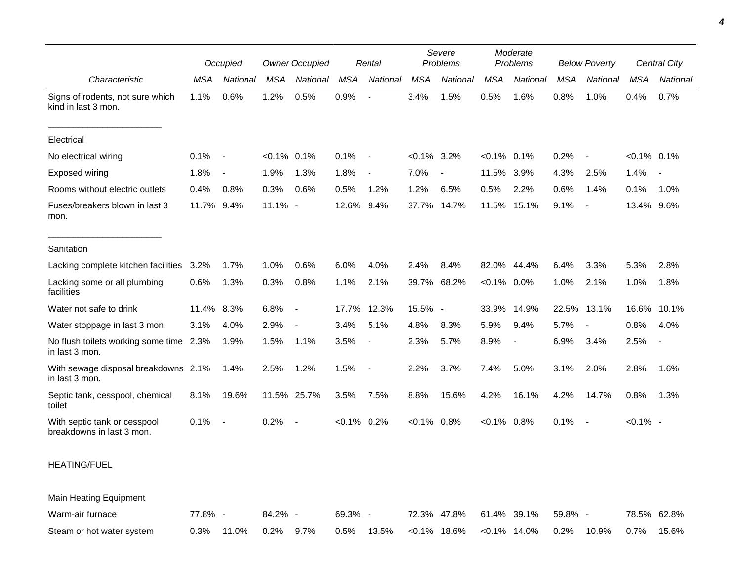|                                                           | Occupied |                          | <b>Owner Occupied</b> |                          | Rental         |                          | Severe<br>Problems |                | Moderate<br>Problems |                          | <b>Below Poverty</b> |                          | Central City  |                          |
|-----------------------------------------------------------|----------|--------------------------|-----------------------|--------------------------|----------------|--------------------------|--------------------|----------------|----------------------|--------------------------|----------------------|--------------------------|---------------|--------------------------|
| Characteristic                                            | MSA      | National                 | <b>MSA</b>            | National                 | <b>MSA</b>     | National                 | <b>MSA</b>         | National       | MSA                  | National                 | MSA                  | National                 | <b>MSA</b>    | National                 |
| Signs of rodents, not sure which<br>kind in last 3 mon.   | 1.1%     | 0.6%                     | 1.2%                  | 0.5%                     | 0.9%           | $\overline{\phantom{a}}$ | 3.4%               | 1.5%           | 0.5%                 | 1.6%                     | 0.8%                 | 1.0%                     | 0.4%          | 0.7%                     |
| Electrical                                                |          |                          |                       |                          |                |                          |                    |                |                      |                          |                      |                          |               |                          |
| No electrical wiring                                      | 0.1%     | $\overline{\phantom{a}}$ | $< 0.1\%$ 0.1%        |                          | 0.1%           | $\sim$                   | $<0.1\%$ 3.2%      |                | $<0.1\%$ 0.1%        |                          | 0.2%                 | $\blacksquare$           | $<0.1\%$ 0.1% |                          |
| <b>Exposed wiring</b>                                     | 1.8%     | $\overline{\phantom{a}}$ | 1.9%                  | 1.3%                     | 1.8%           | $\overline{\phantom{a}}$ | 7.0%               | $\overline{a}$ | 11.5%                | 3.9%                     | 4.3%                 | 2.5%                     | 1.4%          | $\overline{\phantom{a}}$ |
| Rooms without electric outlets                            | 0.4%     | 0.8%                     | 0.3%                  | 0.6%                     | 0.5%           | 1.2%                     | 1.2%               | 6.5%           | 0.5%                 | 2.2%                     | 0.6%                 | 1.4%                     | 0.1%          | 1.0%                     |
| Fuses/breakers blown in last 3<br>mon.                    | 11.7%    | 9.4%                     | 11.1% -               |                          | 12.6%          | 9.4%                     | 37.7%              | 14.7%          | 11.5%                | 15.1%                    | 9.1%                 | $\overline{\phantom{a}}$ | 13.4%         | 9.6%                     |
| Sanitation                                                |          |                          |                       |                          |                |                          |                    |                |                      |                          |                      |                          |               |                          |
| Lacking complete kitchen facilities                       | 3.2%     | 1.7%                     | 1.0%                  | 0.6%                     | 6.0%           | 4.0%                     | 2.4%               | 8.4%           | 82.0%                | 44.4%                    | 6.4%                 | 3.3%                     | 5.3%          | 2.8%                     |
| Lacking some or all plumbing<br>facilities                | 0.6%     | 1.3%                     | 0.3%                  | 0.8%                     | 1.1%           | 2.1%                     | 39.7%              | 68.2%          | $< 0.1\%$            | 0.0%                     | 1.0%                 | 2.1%                     | 1.0%          | 1.8%                     |
| Water not safe to drink                                   | 11.4%    | 8.3%                     | 6.8%                  | $\overline{\phantom{a}}$ |                | 17.7% 12.3%              | 15.5% -            |                | 33.9%                | 14.9%                    | 22.5%                | 13.1%                    | 16.6%         | 10.1%                    |
| Water stoppage in last 3 mon.                             | 3.1%     | 4.0%                     | 2.9%                  | $\overline{\phantom{a}}$ | 3.4%           | 5.1%                     | 4.8%               | 8.3%           | 5.9%                 | 9.4%                     | 5.7%                 |                          | 0.8%          | 4.0%                     |
| No flush toilets working some time 2.3%<br>in last 3 mon. |          | 1.9%                     | 1.5%                  | 1.1%                     | 3.5%           | $\overline{\phantom{a}}$ | 2.3%               | 5.7%           | 8.9%                 | $\overline{\phantom{a}}$ | 6.9%                 | 3.4%                     | 2.5%          | $\overline{\phantom{a}}$ |
| With sewage disposal breakdowns 2.1%<br>in last 3 mon.    |          | 1.4%                     | 2.5%                  | 1.2%                     | 1.5%           | $\overline{\phantom{a}}$ | 2.2%               | 3.7%           | 7.4%                 | 5.0%                     | 3.1%                 | 2.0%                     | 2.8%          | 1.6%                     |
| Septic tank, cesspool, chemical<br>toilet                 | 8.1%     | 19.6%                    |                       | 11.5% 25.7%              | $3.5\%$        | 7.5%                     | 8.8%               | 15.6%          | 4.2%                 | 16.1%                    | 4.2%                 | 14.7%                    | 0.8%          | 1.3%                     |
| With septic tank or cesspool<br>breakdowns in last 3 mon. | 0.1%     | $\overline{\phantom{a}}$ | 0.2%                  | $\overline{\phantom{a}}$ | $< 0.1\%$ 0.2% |                          | $<0.1\%$ 0.8%      |                | $<0.1\%$ 0.8%        |                          | 0.1%                 | $\overline{\phantom{a}}$ | $< 0.1\%$ -   |                          |
| <b>HEATING/FUEL</b>                                       |          |                          |                       |                          |                |                          |                    |                |                      |                          |                      |                          |               |                          |
| <b>Main Heating Equipment</b>                             |          |                          |                       |                          |                |                          |                    |                |                      |                          |                      |                          |               |                          |
| Warm-air furnace                                          | 77.8% -  |                          | 84.2% -               |                          | 69.3% -        |                          |                    | 72.3% 47.8%    |                      | 61.4% 39.1%              | 59.8% -              |                          |               | 78.5% 62.8%              |

| Steam or hot water system |  |  |  | $0.3\%$ 11.0% 0.2% 9.7% 0.5% 13.5% <0.1% 18.6% <0.1% 14.0% 0.2% 10.9% 0.7% 15.6% |  |  |
|---------------------------|--|--|--|----------------------------------------------------------------------------------|--|--|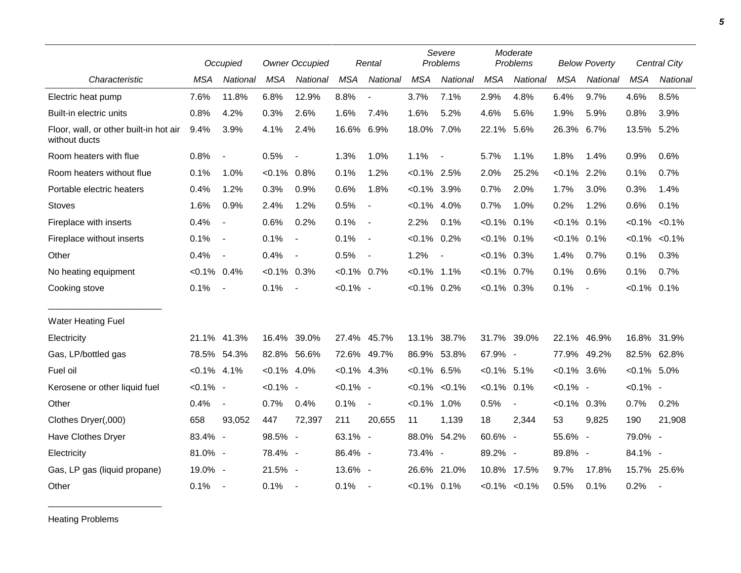|                                                         |                | Occupied                 |                | <b>Owner Occupied</b>    |                | Rental                   |                | Severe<br>Problems       |                | Moderate<br>Problems |                | <b>Below Poverty</b>     |                | Central City    |
|---------------------------------------------------------|----------------|--------------------------|----------------|--------------------------|----------------|--------------------------|----------------|--------------------------|----------------|----------------------|----------------|--------------------------|----------------|-----------------|
| Characteristic                                          | <b>MSA</b>     | National                 | <b>MSA</b>     | National                 | <b>MSA</b>     | National                 | <b>MSA</b>     | National                 | <b>MSA</b>     | National             | <b>MSA</b>     | National                 | <b>MSA</b>     | <b>National</b> |
| Electric heat pump                                      | 7.6%           | 11.8%                    | 6.8%           | 12.9%                    | 8.8%           | $\overline{\phantom{a}}$ | 3.7%           | 7.1%                     | 2.9%           | 4.8%                 | 6.4%           | 9.7%                     | 4.6%           | 8.5%            |
| Built-in electric units                                 | 0.8%           | 4.2%                     | 0.3%           | 2.6%                     | 1.6%           | 7.4%                     | 1.6%           | 5.2%                     | 4.6%           | 5.6%                 | 1.9%           | 5.9%                     | 0.8%           | 3.9%            |
| Floor, wall, or other built-in hot air<br>without ducts | 9.4%           | 3.9%                     | 4.1%           | 2.4%                     | 16.6% 6.9%     |                          | 18.0% 7.0%     |                          | 22.1%          | 5.6%                 | 26.3%          | 6.7%                     | 13.5% 5.2%     |                 |
| Room heaters with flue                                  | 0.8%           | $\blacksquare$           | 0.5%           | $\overline{\phantom{a}}$ | 1.3%           | 1.0%                     | 1.1%           | $\overline{\phantom{a}}$ | 5.7%           | 1.1%                 | 1.8%           | 1.4%                     | 0.9%           | 0.6%            |
| Room heaters without flue                               | 0.1%           | 1.0%                     | $< 0.1\%$ 0.8% |                          | 0.1%           | 1.2%                     | $< 0.1\%$ 2.5% |                          | 2.0%           | 25.2%                | $< 0.1\%$ 2.2% |                          | 0.1%           | 0.7%            |
| Portable electric heaters                               | 0.4%           | 1.2%                     | 0.3%           | 0.9%                     | 0.6%           | 1.8%                     | $< 0.1\%$ 3.9% |                          | 0.7%           | 2.0%                 | 1.7%           | 3.0%                     | 0.3%           | 1.4%            |
| <b>Stoves</b>                                           | 1.6%           | 0.9%                     | 2.4%           | 1.2%                     | 0.5%           | $\overline{\phantom{a}}$ | $< 0.1\%$ 4.0% |                          | 0.7%           | 1.0%                 | 0.2%           | 1.2%                     | 0.6%           | 0.1%            |
| Fireplace with inserts                                  | 0.4%           | $\blacksquare$           | 0.6%           | 0.2%                     | 0.1%           | $\blacksquare$           | 2.2%           | 0.1%                     | $< 0.1\%$      | 0.1%                 | $< 0.1\%$      | 0.1%                     | $< 0.1\%$      | $< 0.1\%$       |
| Fireplace without inserts                               | 0.1%           | $\blacksquare$           | 0.1%           | $\overline{\phantom{a}}$ | 0.1%           | $\overline{\phantom{a}}$ | $< 0.1\%$ 0.2% |                          | $< 0.1\%$ 0.1% |                      | $< 0.1\%$      | 0.1%                     | $< 0.1\%$      | $< 0.1\%$       |
| Other                                                   | 0.4%           | $\overline{\phantom{a}}$ | 0.4%           | $\overline{\phantom{a}}$ | 0.5%           | $\blacksquare$           | 1.2%           | $\overline{\phantom{a}}$ | $< 0.1\%$ 0.3% |                      | 1.4%           | 0.7%                     | 0.1%           | 0.3%            |
| No heating equipment                                    | $< 0.1\%$      | 0.4%                     | $< 0.1\%$ 0.3% |                          | $< 0.1\%$ 0.7% |                          | $< 0.1\%$ 1.1% |                          | $< 0.1\%$      | $0.7\%$              | 0.1%           | 0.6%                     | 0.1%           | 0.7%            |
| Cooking stove                                           | 0.1%           | $\overline{\phantom{a}}$ | 0.1%           | $\sim$ $-$               | $< 0.1\%$ -    |                          | $< 0.1\%$ 0.2% |                          | $<0.1\%$ 0.3%  |                      | 0.1%           | $\overline{\phantom{a}}$ | $< 0.1\%$ 0.1% |                 |
| <b>Water Heating Fuel</b>                               |                |                          |                |                          |                |                          |                |                          |                |                      |                |                          |                |                 |
| Electricity                                             | 21.1%          | 41.3%                    | 16.4% 39.0%    |                          |                | 27.4% 45.7%              | 13.1%          | 38.7%                    | 31.7%          | 39.0%                | 22.1%          | 46.9%                    | 16.8% 31.9%    |                 |
| Gas, LP/bottled gas                                     | 78.5%          | 54.3%                    | 82.8% 56.6%    |                          |                | 72.6% 49.7%              | 86.9% 53.8%    |                          | 67.9% -        |                      | 77.9%          | 49.2%                    | 82.5% 62.8%    |                 |
| Fuel oil                                                | $< 0.1\%$ 4.1% |                          | $< 0.1\%$ 4.0% |                          | $< 0.1\%$ 4.3% |                          | $< 0.1\%$ 6.5% |                          | $< 0.1\%$ 5.1% |                      | $< 0.1\%$ 3.6% |                          | $< 0.1\%$ 5.0% |                 |
| Kerosene or other liquid fuel                           | $< 0.1\%$ -    |                          | $< 0.1\%$ -    |                          | $< 0.1\%$ -    |                          |                | $< 0.1\%$ $< 0.1\%$      | $< 0.1\%$ 0.1% |                      | $< 0.1\%$ -    |                          | $< 0.1\%$ -    |                 |
| Other                                                   | 0.4%           | $\blacksquare$           | 0.7%           | 0.4%                     | 0.1%           | $\blacksquare$           | $< 0.1\%$ 1.0% |                          | 0.5%           | $\blacksquare$       | $< 0.1\%$ 0.3% |                          | 0.7%           | 0.2%            |
| Clothes Dryer(,000)                                     | 658            | 93,052                   | 447            | 72,397                   | 211            | 20,655                   | 11             | 1,139                    | 18             | 2,344                | 53             | 9,825                    | 190            | 21,908          |
| Have Clothes Dryer                                      | 83.4% -        |                          | 98.5% -        |                          | $63.1\% -$     |                          |                | 88.0% 54.2%              | 60.6% -        |                      | 55.6% -        |                          | 79.0% -        |                 |
| Electricity                                             | 81.0% -        |                          | 78.4% -        |                          | 86.4% -        |                          | 73.4% -        |                          | 89.2% -        |                      | 89.8% -        |                          | 84.1% -        |                 |
| Gas, LP gas (liquid propane)                            | 19.0% -        |                          | 21.5% -        |                          | 13.6% -        |                          |                | 26.6% 21.0%              |                | 10.8% 17.5%          | 9.7%           | 17.8%                    | 15.7% 25.6%    |                 |
| Other                                                   | 0.1%           | $\overline{\phantom{a}}$ | 0.1%           | $\sim$                   | 0.1%           | $\overline{\phantom{a}}$ | $< 0.1\%$ 0.1% |                          |                | $< 0.1\%$ $< 0.1\%$  | 0.5%           | 0.1%                     | 0.2%           | $\sim$          |

Heating Problems

\_\_\_\_\_\_\_\_\_\_\_\_\_\_\_\_\_\_\_\_\_\_\_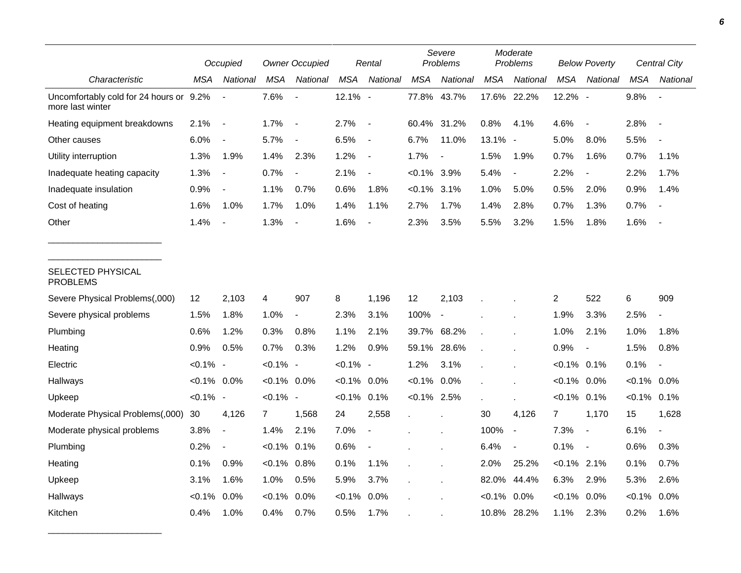|                                                             | Occupied       |                          | <b>Owner Occupied</b> |                          | Rental         |                          | Severe<br>Problems |                          | Moderate<br>Problems |                          | <b>Below Poverty</b> |                          | Central City   |                          |
|-------------------------------------------------------------|----------------|--------------------------|-----------------------|--------------------------|----------------|--------------------------|--------------------|--------------------------|----------------------|--------------------------|----------------------|--------------------------|----------------|--------------------------|
| Characteristic                                              | <b>MSA</b>     | National                 | MSA                   | National                 | <b>MSA</b>     | National                 | <b>MSA</b>         | National                 | MSA                  | National                 | <b>MSA</b>           | National                 | <b>MSA</b>     | National                 |
| Uncomfortably cold for 24 hours or 9.2%<br>more last winter |                | $\overline{\phantom{a}}$ | 7.6%                  | $\blacksquare$           | 12.1% -        |                          | 77.8%              | 43.7%                    |                      | 17.6% 22.2%              | 12.2% -              |                          | 9.8%           | $\blacksquare$           |
| Heating equipment breakdowns                                | 2.1%           | $\overline{\phantom{a}}$ | 1.7%                  | $\overline{\phantom{a}}$ | 2.7%           | $\overline{\phantom{a}}$ | 60.4% 31.2%        |                          | 0.8%                 | 4.1%                     | 4.6%                 | $\overline{\phantom{a}}$ | 2.8%           | $\overline{\phantom{a}}$ |
| Other causes                                                | 6.0%           | $\overline{\phantom{a}}$ | 5.7%                  | $\overline{a}$           | 6.5%           | $\overline{\phantom{a}}$ | 6.7%               | 11.0%                    | 13.1% -              |                          | 5.0%                 | 8.0%                     | 5.5%           |                          |
| Utility interruption                                        | 1.3%           | 1.9%                     | 1.4%                  | 2.3%                     | 1.2%           | $\overline{\phantom{a}}$ | 1.7%               | $\overline{a}$           | 1.5%                 | 1.9%                     | 0.7%                 | 1.6%                     | 0.7%           | 1.1%                     |
| Inadequate heating capacity                                 | 1.3%           | $\blacksquare$           | 0.7%                  | $\overline{\phantom{a}}$ | 2.1%           | $\blacksquare$           | $< 0.1\%$ 3.9%     |                          | 5.4%                 | $\blacksquare$           | 2.2%                 | $\overline{\phantom{a}}$ | 2.2%           | 1.7%                     |
| Inadequate insulation                                       | 0.9%           | $\overline{\phantom{a}}$ | 1.1%                  | 0.7%                     | 0.6%           | 1.8%                     | $< 0.1\%$ 3.1%     |                          | 1.0%                 | 5.0%                     | 0.5%                 | 2.0%                     | 0.9%           | 1.4%                     |
| Cost of heating                                             | 1.6%           | 1.0%                     | 1.7%                  | 1.0%                     | 1.4%           | 1.1%                     | 2.7%               | 1.7%                     | 1.4%                 | 2.8%                     | 0.7%                 | 1.3%                     | 0.7%           |                          |
| Other                                                       | 1.4%           |                          | 1.3%                  |                          | 1.6%           | $\blacksquare$           | 2.3%               | 3.5%                     | 5.5%                 | 3.2%                     | 1.5%                 | 1.8%                     | 1.6%           |                          |
| SELECTED PHYSICAL<br><b>PROBLEMS</b>                        |                |                          |                       |                          |                |                          |                    |                          |                      |                          |                      |                          |                |                          |
| Severe Physical Problems(,000)                              | 12             | 2,103                    | 4                     | 907                      | 8              | 1,196                    | 12                 | 2,103                    |                      |                          | 2                    | 522                      | 6              | 909                      |
| Severe physical problems                                    | 1.5%           | 1.8%                     | 1.0%                  | $\overline{\phantom{a}}$ | 2.3%           | 3.1%                     | 100%               | $\overline{\phantom{a}}$ |                      |                          | 1.9%                 | 3.3%                     | 2.5%           | $\blacksquare$           |
| Plumbing                                                    | 0.6%           | 1.2%                     | 0.3%                  | 0.8%                     | 1.1%           | 2.1%                     |                    | 39.7% 68.2%              |                      |                          | 1.0%                 | 2.1%                     | 1.0%           | 1.8%                     |
| Heating                                                     | 0.9%           | 0.5%                     | 0.7%                  | 0.3%                     | 1.2%           | 0.9%                     | 59.1%              | 28.6%                    |                      |                          | 0.9%                 | $\overline{\phantom{a}}$ | 1.5%           | 0.8%                     |
| Electric                                                    | $< 0.1\%$ -    |                          | $< 0.1\%$ -           |                          | $< 0.1\%$ -    |                          | 1.2%               | 3.1%                     |                      |                          | $< 0.1\%$ 0.1%       |                          | 0.1%           | $\blacksquare$           |
| Hallways                                                    | $< 0.1\%$ 0.0% |                          | $< 0.1\%$ 0.0%        |                          | $< 0.1\%$ 0.0% |                          | $< 0.1\%$ 0.0%     |                          |                      |                          | $< 0.1\%$ 0.0%       |                          | $< 0.1\%$ 0.0% |                          |
| Upkeep                                                      | $< 0.1\%$ -    |                          | $< 0.1\%$ -           |                          | $< 0.1\%$      | 0.1%                     | $< 0.1\%$ 2.5%     |                          |                      |                          | $< 0.1\%$ 0.1%       |                          | $< 0.1\%$ 0.1% |                          |
| Moderate Physical Problems(,000)                            | 30             | 4,126                    | $\overline{7}$        | 1,568                    | 24             | 2,558                    |                    |                          | 30                   | 4,126                    | $\overline{7}$       | 1,170                    | 15             | 1,628                    |
| Moderate physical problems                                  | 3.8%           | $\overline{\phantom{a}}$ | 1.4%                  | 2.1%                     | 7.0%           | $\overline{\phantom{a}}$ |                    |                          | 100%                 | $\overline{\phantom{a}}$ | 7.3%                 | $\overline{\phantom{a}}$ | 6.1%           | $\overline{\phantom{a}}$ |
| Plumbing                                                    | 0.2%           | $\overline{\phantom{a}}$ | $< 0.1\%$             | 0.1%                     | 0.6%           | $\blacksquare$           |                    |                          | 6.4%                 | $\overline{\phantom{a}}$ | 0.1%                 | $\overline{\phantom{a}}$ | 0.6%           | 0.3%                     |
| Heating                                                     | 0.1%           | 0.9%                     | $< 0.1\%$             | 0.8%                     | 0.1%           | 1.1%                     |                    |                          | 2.0%                 | 25.2%                    | $< 0.1\%$ 2.1%       |                          | 0.1%           | 0.7%                     |
| Upkeep                                                      | 3.1%           | 1.6%                     | 1.0%                  | 0.5%                     | 5.9%           | 3.7%                     |                    |                          | 82.0%                | 44.4%                    | 6.3%                 | 2.9%                     | 5.3%           | 2.6%                     |
| Hallways                                                    | $< 0.1\%$      | 0.0%                     | $< 0.1\%$             | 0.0%                     | $< 0.1\%$      | 0.0%                     |                    |                          | $< 0.1\%$            | 0.0%                     | $< 0.1\%$            | 0.0%                     | < 0.1%         | 0.0%                     |
| Kitchen                                                     | 0.4%           | 1.0%                     | 0.4%                  | 0.7%                     | 0.5%           | 1.7%                     |                    |                          | 10.8%                | 28.2%                    | 1.1%                 | 2.3%                     | 0.2%           | 1.6%                     |

\_\_\_\_\_\_\_\_\_\_\_\_\_\_\_\_\_\_\_\_\_\_\_